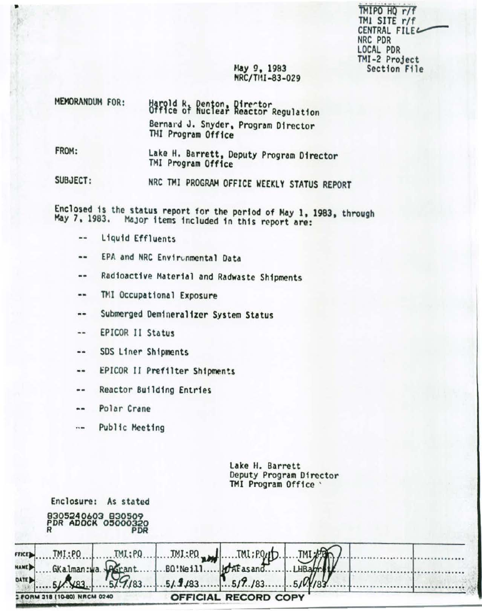TMIPO HQ r/f TMl SITE r/f CENTRAL FILEL NRC PDR LOCAL PDR TMI-2 Project<br>Section File

### May 9, 1983 HRC/TIH -83-029

| MEMORANDUM FOR: | Harold R, Denton, Director<br>Office of Nuclear Reactor Regulation |  |  |  |
|-----------------|--------------------------------------------------------------------|--|--|--|
|                 | Bernard J. Snyder, Program Director<br>THI Program Office          |  |  |  |
| CDOM.           |                                                                    |  |  |  |

FROM: Lake H. Barrett, Deputy Program Director *TMI* Program Office

SUBJECT: HRC TMI PROGRAM OFFICE WEEKLY STATUS REPORT

Enclosed is the status report for the period of May 1, 1983, through May 7, 1983. Major items included in this report are:

 $\frac{1}{2}$ Liquid Effluents

•

- EPA and NRC Environmental Data  $\qquad \qquad \bullet$
- Radioactive Material and Radwaste Shipments  $\cdots$
- TMl Occupational Exposure  $\cdots$
- Submerged Oem1nera11zcr System Status  $\cdots$
- EPICOR II Status --
- SOS Liner Shipments  $\blacksquare$
- EPICOR II Prefilter Shipments  $\qquad \qquad \cdots$
- Reactor Bu11d1ng Entries  $\frac{1}{2}$
- Polar Crane  $\cdots$

Enclosure: As stated

 $\cdots$ Public Meeting

> Lake H. Barrett Deputy Program Director THI Program Office '

|                      |                              | 8305240603 830509<br>PDR ADOCK 05000320<br><b>PDR</b> |                                  |                             |  |  |
|----------------------|------------------------------|-------------------------------------------------------|----------------------------------|-----------------------------|--|--|
| FFICE<br><b>NAME</b> | TMI:PO<br>GKalman: wa. John  | TM:PQ                                                 | $.$ JMJ.:PO $_{max}$<br>BQ!Neill | JML: PQUD.<br>. HAE as and. |  |  |
| <b>DATE</b>          |                              |                                                       |                                  |                             |  |  |
|                      | 2 FORM 318 (10-80) NRCM 0240 |                                                       |                                  | <b>OFFICIAL RECORD COPY</b> |  |  |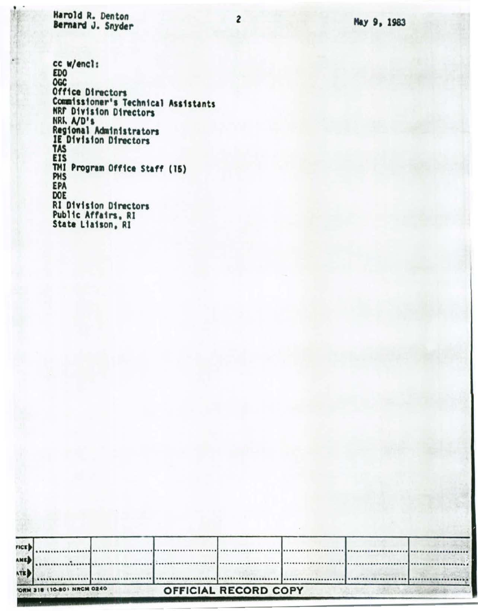May 9, 1983

Harold R. Denton Bernard J. Snyder

٠

cc w/encl: EJ)() OGC Office Dtrectors Commissioner's Technical Assistants NRr Dtvtston Directors NRL A/D's Regional Administrators *IE* Dtvtston Dtrectors TAS EIS TMI Program Office Staff (15)<br>PHS EPA DOE Rl Dtvtston Directors Pub11e Affatrs. Rl State Ltatson. Rl

|             | ORM 318 (10-80) NRCM 0240 |  | <b>OFFICIAL RECORD COPY</b> |  |  |
|-------------|---------------------------|--|-----------------------------|--|--|
| ATE         |                           |  |                             |  |  |
| <b>AMED</b> |                           |  |                             |  |  |
| FIGE        |                           |  |                             |  |  |

2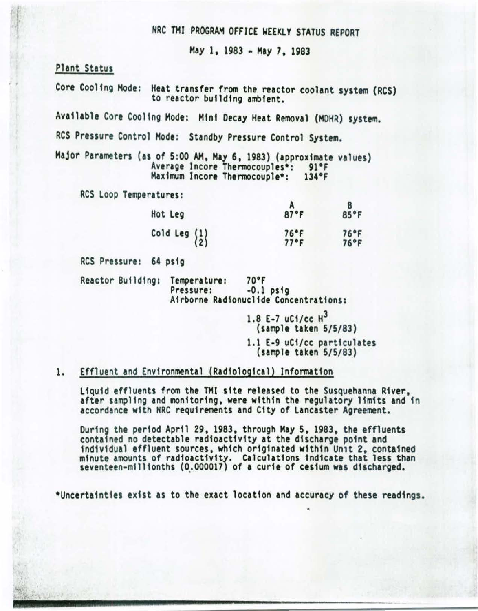# NRC THI PROGRAM OFFICE WEEKLY STATUS REPORT

May 1, 1983 - May 7, 1983

#### Plant Status

. ,

Core Coo11ng Mode: Heat transfer from the reactor coolant system {RCS) to reactor building ambient.

Available Core Cooling Mode: Hfnf Decay Heat Removal {MOHR) system.

RCS Pressure Control Mode: Standby Pressure Control System.

Major Parameters (as of 5:00 AM, May 6, 1983) (approximate values)<br>Average Incore Thermocouples\*: 91°F<br>Maximum Incore Thermocouple\*: 134°F Maximum Incore Thermocouple\*:

RCS loop Temperatures:

| Hot Leg                                         | 87°F         | 85°F         |
|-------------------------------------------------|--------------|--------------|
| Cold Leg $\begin{Bmatrix} 1 \\ 2 \end{Bmatrix}$ | 76°F<br>77°F | 76°F<br>76°F |

RCS Pressure: 64 psfg

Reactor Building: Temperature: 70°F<br>Pressure: -0.1 psig Airborne Radionuclide Concentrations:

> 1.8 E-7 uC1/cc H<sup>3</sup> (sample taken 5/5/83) 1.1 E-9 uCi/cc particulates (sample taken 5/5/83)

#### 1. Effluent and Environmental (Radfo1ogfca1) Information

Liquid effluents from the TMI site released to the Susquehanna River,<br>after sampling and monitoring, were within the regulatory limits and in accordance with NRC requirements and City of Lancaster Agreement.

Ourfng the period April 29, 1983, through Hay 5, 1983, the effluents contained no detectable radioactivity at the discharge point and individual effluent sources, which originated within Un1t 2, contained minute amounts of radioactivity. Calculations indicate that less than seventeen-millionths (0.000017) of a curie of cesium was discharged.

\*Uncertainties exist as to the exact location and accuracy of these readings.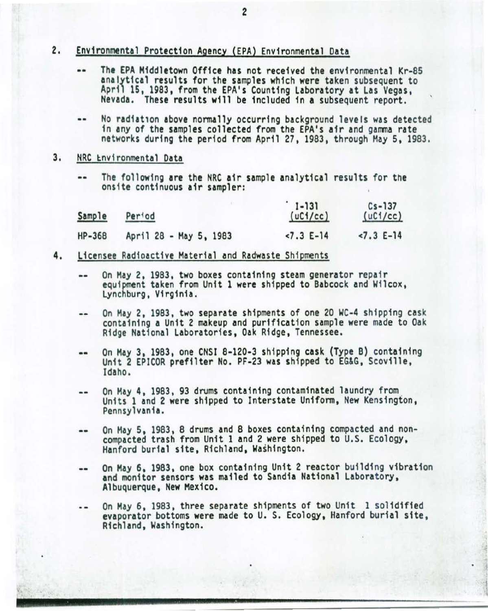- 2. Environmental Protection Agency (EPA) Environmental Data
	- •• The EPA Middletown Office has not received the env ironmental Kr-85 analytical results for the samples which were taken subsequent to April 15, 1983, from the EPA's Counting Laboratory at Las Vegas, Nevada. These results will be included fn a subsequent report.
	- •• No radiat1on above normally occurring background levels was detected in any of the samples collected from the EPA's afr and gamma rate networks during the period from April 27, 1983, through May 5, 1983.
- 3. NRC Environmental Data
	- •• The following are the NRC air sample analytical results for the onsfte continuous afr sampler:

| Sample | Per <sup>tod</sup>     | $1-131$<br>(uC1/cc) | $Cs - 137$<br>(uC1/cc) |
|--------|------------------------|---------------------|------------------------|
| HP-368 | April 28 - May 5, 1983 | $-7.3 E-14$         | $< 7.3 E-14$           |

- 4. Licensee Radioactive Material and Radwaste Shipments
	- On May 2, 1983, two boxes containing steam generator repair equipment taken from Unit 1 were shipped to Babcock and Wilcox, LYnchburg, Virginia.
	- On May 2, 1983, two separate shipments of one 20 WC-4 shipping cask  $-$ containing a Unit 2 makeup and purification sample were made to Oak Ridge National Laboratories, Oak Ridge, Tennessee.
	- •• On May 3, 1983, one CNSI 8-120-3 shipping cask (Type B) containing Unit 2 EPICOR prefilter No. PF-23 was shipped to EG&G, Scoville, Idaho.
	- On May 4, 1983, 93 drums containing contaminated laundry from<br>Units 1 and 2 were shipped to Interstate Uniform, New Kensington,<br>Pennsylvania.  $\sim$
	- On May 5, 1983, 8 drums and 8 boxes containing compacted and non- $\qquad \qquad$ compacted trash from Unft 1 and 2 were shipped to U.S. Ecology, Hanford burial site, Richland, Washington.
	- On Hay 6, 1983, one box containing Unit 2 reactor building vibration  $-1$ and monitor sensors was mailed to Sandia National Laboratory, Albuquerque, New Mexico.
	- On May 6, 1983, three separate shipments of two Unit 1 solidified  $\cdot$   $\cdot$ evaporator bottoms were made to U. S. Ecology, Hanford burfal site, Richland, Washington.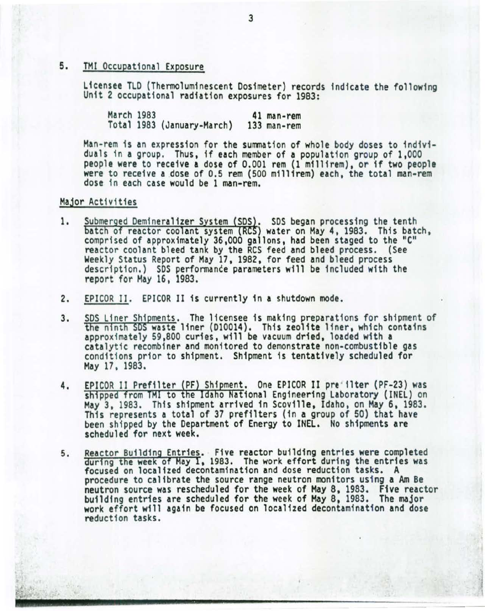5. TMI Occupational Exposure

Licensee TLD (Thermoluminescent Dosimeter) records indicate the following<br>Unit 2 occupational radiation exposures for 1983:

March 1983 41 man-rem Total 1983 (January-March)

Han-rem is an expression for the summation of whole body doses to individuals 1n a group. Thus, if each member of a population group of 1,000 people were to receive a dose of 0.001 rem (1 millirem), or if two people were to receive a dose of 0.5 rem {500 millirem) each, the total man-rem dose in each case would be 1 man-rem.

### Major Activities

- Submerged Demineralizer System (SDS). SDS began processing the tenth 1. batch of reactor coolant system (RCS) water on May 4, 1983. This batch, comprised of approximately 36,000 gallons, had been staged to the "C" reactor coolant bleed tank by the RCS feed and bleed process. (See Weekly Status Report of May 17, 1982, for feed and bleed process description.) SDS performance parameters will be included with the report for May 16, 1983.
- 2. EPICOR II. EPICOR II is currently in a shutdown mode.
- 3. SDS Liner Shipments. The licensee 1s making preparations for shipment of the ninth SDS waste liner (010014). This zeolite liner, which contains approximately 59,800 curies, will be vacuum dried, loaded with a catalytic recombiner and monitored to demonstrate non-combustible gas conditions prior to shipment. Shipment is tentatively scheduled for Hay 17, 1983.
- 4. EPICOR II Prefilter (PF) Shipment. One EPICOR II pre ilter (PF-23) was shipped from TMI to the Idaho National Engineering Laboratory (INEL) on May 3, 1983. This shipment arrived in Scoville, Idaho, on Hay 6, 1983. This represents a total of 37 prefi1ters (in a group of 50) that have been shipped by the Department of Energy to INEL. No shipments are scheduled for next week.
- s. Reactor Building Entries. Five reactor building entries were completed during the week of May 1, 1983. The work effort during the entries was focused on localized decontamination and dose reduction tasks. A procedure to calibrate the source range neutron monitors using a Am Be neutron source was rescheduled for the week of Hay 8, 1983. Five reactor building entries are scheduled for the week of Hay 8, 1983. The major work effort will again be focused on localized decontamination and dose reduction tasks.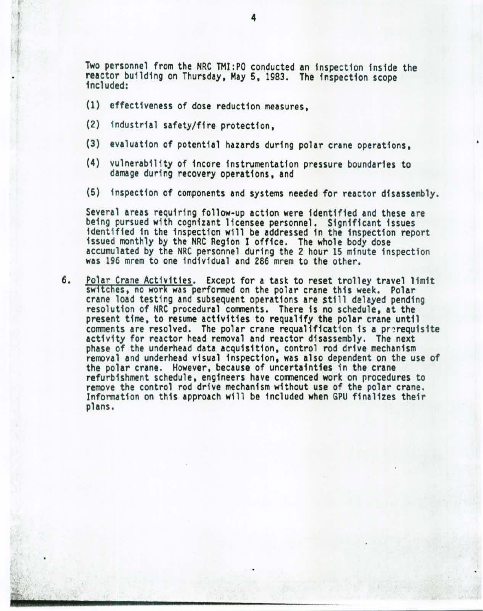Two personnel from the NRC THI:PO conducted an inspection inside the reactor building on Thursday, May 5, 1983. The inspection scope included:

- {1) effectiveness of dose reduction measures,
- (2) industrial safety/fire protection,
- {3) evaluation of potential hazards during polar crane operations,
- (4) vulnerability of 1ncore instrumentation pressure boundaries to damage during *recovery* operations, and
- (5) inspection of components and systems needed for reactor disassembly.

Several areas requiring follow-up action were identified and these are being pursued with cognizant licensee personnel. Significant issues identified in the inspection will be addressed in the inspection report issued monthly by the NRC Region I office. The whole body dose issued monthly by the NRC Region I office. The whole body dose<br>accumulated by the NRC personnel during the 2 hour 15 minute inspection was 196 mrem to one individual and 286 mrem to the other.

6. Polar Crane Activities. Except for a task to reset trolley travel limit switches, no work was performed on the polar crane this week. Polar crane load testing and subsequent operations are still delayed pending resolution of NRC procedural comments. There is no schedule, at the present time, to resume activities to requa11fy the polar crane until comments are resolved. The polar crane requalification is a prerequisite activity for reactor head removal and reactor disassembly. The next phase of the underhead data acquisition, control rod drive mechanism removal and underhead visual inspection, was also dependent on the use of the polar crane. However, because of uncertainties in the crane refurbishment schedule, engineers have commenced work on procedures to remove the control rod drive mechanism without use of the polar crane. Information on this approach will be included when GPU finalizes their plans.